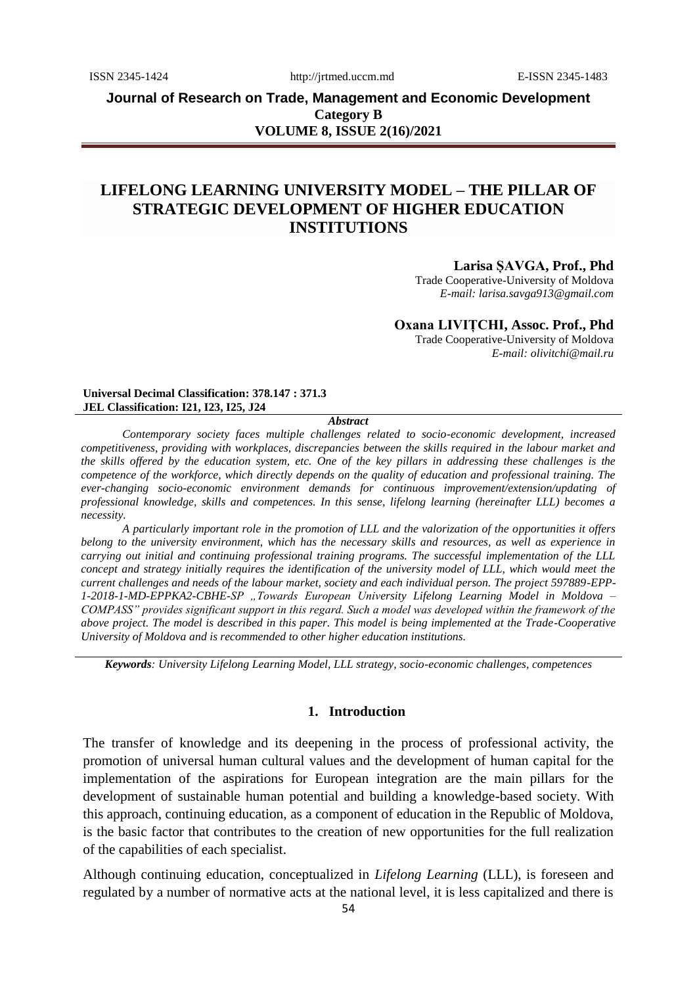**Journal of Research on Trade, Management and Economic Development Category B VOLUME 8, ISSUE 2(16)/2021**

# **LIFELONG LEARNING UNIVERSITY MODEL – THE PILLAR OF STRATEGIC DEVELOPMENT OF HIGHER EDUCATION INSTITUTIONS**

## **Larisa ȘAVGA, Prof., Phd**

Trade Cooperative-University of Moldova *E-mail: larisa.savga913@gmail.com*

**Oxana LIVIȚCHI, Assoc. Prof., Phd**

Trade Cooperative-University of Moldova *E-mail: olivitchi@mail.ru*

#### **Universal Decimal Classification: 378.147 : 371.3 JEL Classification: I21, I23, I25, J24**

#### *Abstract*

*Contemporary society faces multiple challenges related to socio-economic development, increased competitiveness, providing with workplaces, discrepancies between the skills required in the labour market and the skills offered by the education system, etc. One of the key pillars in addressing these challenges is the competence of the workforce, which directly depends on the quality of education and professional training. The ever-changing socio-economic environment demands for continuous improvement/extension/updating of professional knowledge, skills and competences. In this sense, lifelong learning (hereinafter LLL) becomes a necessity.*

*A particularly important role in the promotion of LLL and the valorization of the opportunities it offers belong to the university environment, which has the necessary skills and resources, as well as experience in carrying out initial and continuing professional training programs. The successful implementation of the LLL concept and strategy initially requires the identification of the university model of LLL, which would meet the current challenges and needs of the labour market, society and each individual person. The project 597889-EPP-1-2018-1-MD-EPPKA2-CBHE-SP "Towards European University Lifelong Learning Model in Moldova – COMPASS" provides significant support in this regard. Such a model was developed within the framework of the above project. The model is described in this paper. This model is being implemented at the Trade-Cooperative University of Moldova and is recommended to other higher education institutions.* 

*Keywords: University Lifelong Learning Model, LLL strategy, socio-economic challenges, competences*

## **1. Introduction**

The transfer of knowledge and its deepening in the process of professional activity, the promotion of universal human cultural values and the development of human capital for the implementation of the aspirations for European integration are the main pillars for the development of sustainable human potential and building a knowledge-based society. With this approach, continuing education, as a component of education in the Republic of Moldova, is the basic factor that contributes to the creation of new opportunities for the full realization of the capabilities of each specialist.

Although continuing education, conceptualized in *Lifelong Learning* (LLL), is foreseen and regulated by a number of normative acts at the national level, it is less capitalized and there is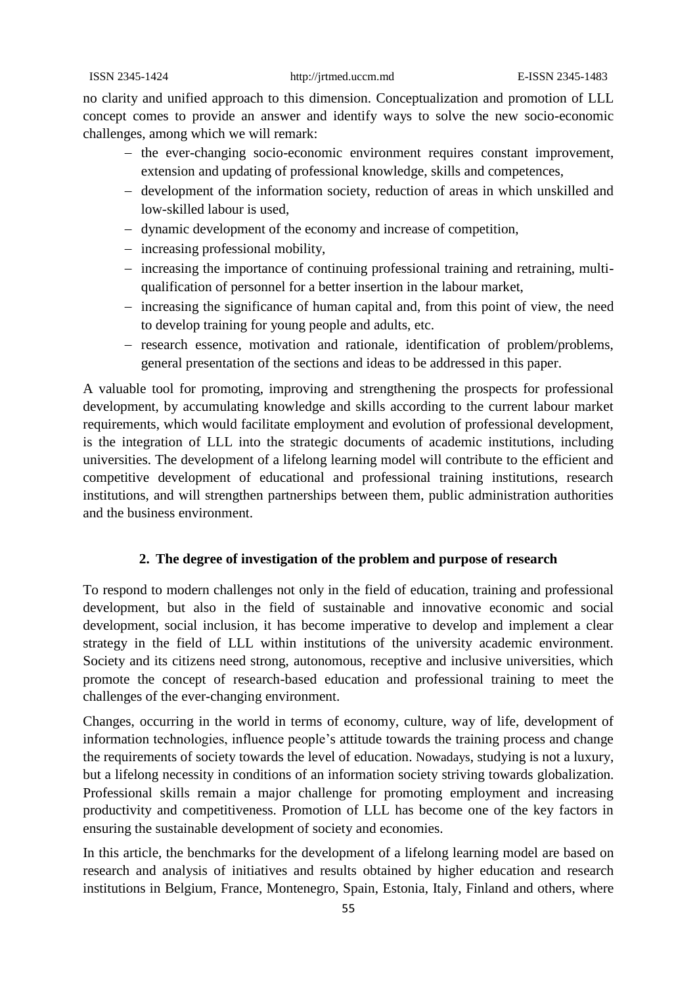no clarity and unified approach to this dimension. Conceptualization and promotion of LLL concept comes to provide an answer and identify ways to solve the new socio-economic challenges, among which we will remark:

- the ever-changing socio-economic environment requires constant improvement, extension and updating of professional knowledge, skills and competences,
- development of the information society, reduction of areas in which unskilled and low-skilled labour is used,
- dynamic development of the economy and increase of competition,
- increasing professional mobility,
- increasing the importance of continuing professional training and retraining, multiqualification of personnel for a better insertion in the labour market,
- increasing the significance of human capital and, from this point of view, the need to develop training for young people and adults, etc.
- research essence, motivation and rationale, identification of problem/problems, general presentation of the sections and ideas to be addressed in this paper.

A valuable tool for promoting, improving and strengthening the prospects for professional development, by accumulating knowledge and skills according to the current labour market requirements, which would facilitate employment and evolution of professional development, is the integration of LLL into the strategic documents of academic institutions, including universities. The development of a lifelong learning model will contribute to the efficient and competitive development of educational and professional training institutions, research institutions, and will strengthen partnerships between them, public administration authorities and the business environment.

## **2. The degree of investigation of the problem and purpose of research**

To respond to modern challenges not only in the field of education, training and professional development, but also in the field of sustainable and innovative economic and social development, social inclusion, it has become imperative to develop and implement a clear strategy in the field of LLL within institutions of the university academic environment. Society and its citizens need strong, autonomous, receptive and inclusive universities, which promote the concept of research-based education and professional training to meet the challenges of the ever-changing environment.

Changes, occurring in the world in terms of economy, culture, way of life, development of information technologies, influence people's attitude towards the training process and change the requirements of society towards the level of education. Nowadays, studying is not a luxury, but a lifelong necessity in conditions of an information society striving towards globalization. Professional skills remain a major challenge for promoting employment and increasing productivity and competitiveness. Promotion of LLL has become one of the key factors in ensuring the sustainable development of society and economies.

In this article, the benchmarks for the development of a lifelong learning model are based on research and analysis of initiatives and results obtained by higher education and research institutions in Belgium, France, Montenegro, Spain, Estonia, Italy, Finland and others, where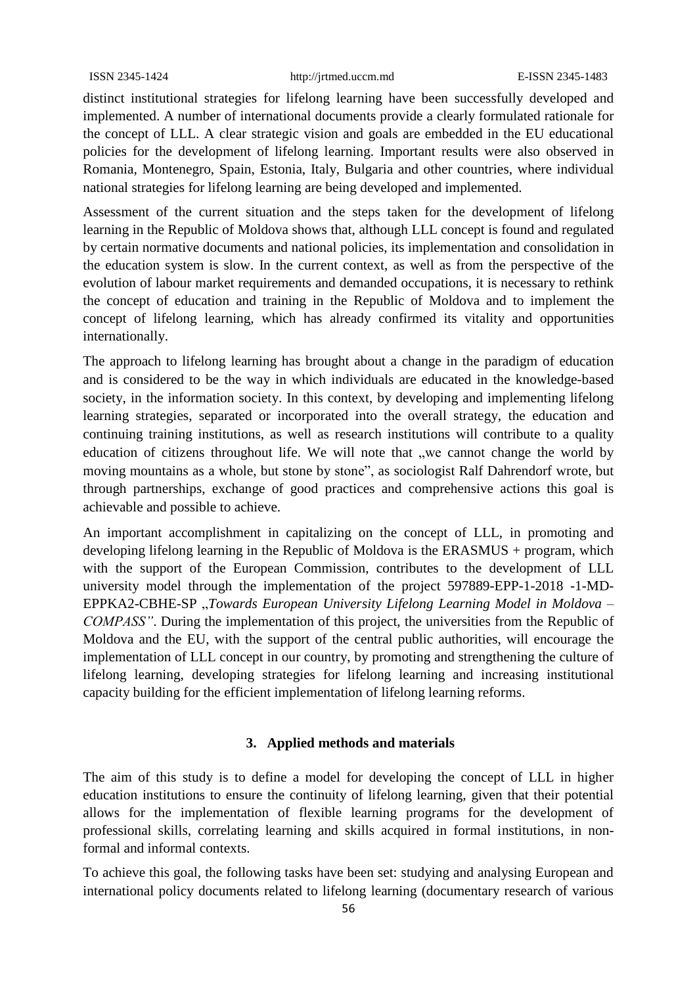distinct institutional strategies for lifelong learning have been successfully developed and implemented. A number of international documents provide a clearly formulated rationale for the concept of LLL. A clear strategic vision and goals are embedded in the EU educational policies for the development of lifelong learning. Important results were also observed in Romania, Montenegro, Spain, Estonia, Italy, Bulgaria and other countries, where individual national strategies for lifelong learning are being developed and implemented.

Assessment of the current situation and the steps taken for the development of lifelong learning in the Republic of Moldova shows that, although LLL concept is found and regulated by certain normative documents and national policies, its implementation and consolidation in the education system is slow. In the current context, as well as from the perspective of the evolution of labour market requirements and demanded occupations, it is necessary to rethink the concept of education and training in the Republic of Moldova and to implement the concept of lifelong learning, which has already confirmed its vitality and opportunities internationally.

The approach to lifelong learning has brought about a change in the paradigm of education and is considered to be the way in which individuals are educated in the knowledge-based society, in the information society. In this context, by developing and implementing lifelong learning strategies, separated or incorporated into the overall strategy, the education and continuing training institutions, as well as research institutions will contribute to a quality education of citizens throughout life. We will note that "we cannot change the world by moving mountains as a whole, but stone by stone", as sociologist Ralf Dahrendorf wrote, but through partnerships, exchange of good practices and comprehensive actions this goal is achievable and possible to achieve.

An important accomplishment in capitalizing on the concept of LLL, in promoting and developing lifelong learning in the Republic of Moldova is the ERASMUS + program, which with the support of the European Commission, contributes to the development of LLL university model through the implementation of the project 597889-EPP-1-2018 -1-MD-EPPKA2-CBHE-SP "*Towards European University Lifelong Learning Model in Moldova – COMPASS"*. During the implementation of this project, the universities from the Republic of Moldova and the EU, with the support of the central public authorities, will encourage the implementation of LLL concept in our country, by promoting and strengthening the culture of lifelong learning, developing strategies for lifelong learning and increasing institutional capacity building for the efficient implementation of lifelong learning reforms.

## **3. Applied methods and materials**

The aim of this study is to define a model for developing the concept of LLL in higher education institutions to ensure the continuity of lifelong learning, given that their potential allows for the implementation of flexible learning programs for the development of professional skills, correlating learning and skills acquired in formal institutions, in nonformal and informal contexts.

To achieve this goal, the following tasks have been set: studying and analysing European and international policy documents related to lifelong learning (documentary research of various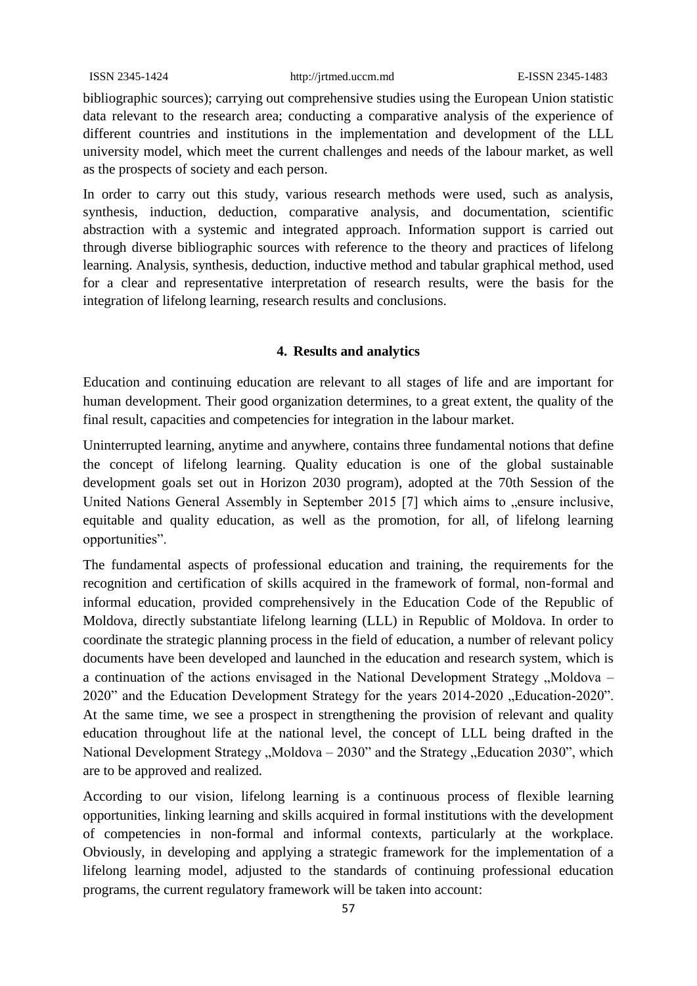bibliographic sources); carrying out comprehensive studies using the European Union statistic data relevant to the research area; conducting a comparative analysis of the experience of different countries and institutions in the implementation and development of the LLL university model, which meet the current challenges and needs of the labour market, as well as the prospects of society and each person.

In order to carry out this study, various research methods were used, such as analysis, synthesis, induction, deduction, comparative analysis, and documentation, scientific abstraction with a systemic and integrated approach. Information support is carried out through diverse bibliographic sources with reference to the theory and practices of lifelong learning. Analysis, synthesis, deduction, inductive method and tabular graphical method, used for a clear and representative interpretation of research results, were the basis for the integration of lifelong learning, research results and conclusions.

## **4. Results and analytics**

Education and continuing education are relevant to all stages of life and are important for human development. Their good organization determines, to a great extent, the quality of the final result, capacities and competencies for integration in the labour market.

Uninterrupted learning, anytime and anywhere, contains three fundamental notions that define the concept of lifelong learning. Quality education is one of the global sustainable development goals set out in Horizon 2030 program), adopted at the 70th Session of the United Nations General Assembly in September 2015 [7] which aims to "ensure inclusive, equitable and quality education, as well as the promotion, for all, of lifelong learning opportunities".

The fundamental aspects of professional education and training, the requirements for the recognition and certification of skills acquired in the framework of formal, non-formal and informal education, provided comprehensively in the Education Code of the Republic of Moldova, directly substantiate lifelong learning (LLL) in Republic of Moldova. In order to coordinate the strategic planning process in the field of education, a number of relevant policy documents have been developed and launched in the education and research system, which is a continuation of the actions envisaged in the National Development Strategy "Moldova – 2020" and the Education Development Strategy for the years 2014-2020 ". Education-2020". At the same time, we see a prospect in strengthening the provision of relevant and quality education throughout life at the national level, the concept of LLL being drafted in the National Development Strategy  $Moldova - 2030$ " and the Strategy  $Leducation 2030$ ", which are to be approved and realized.

According to our vision, lifelong learning is a continuous process of flexible learning opportunities, linking learning and skills acquired in formal institutions with the development of competencies in non-formal and informal contexts, particularly at the workplace. Obviously, in developing and applying a strategic framework for the implementation of a lifelong learning model, adjusted to the standards of continuing professional education programs, the current regulatory framework will be taken into account: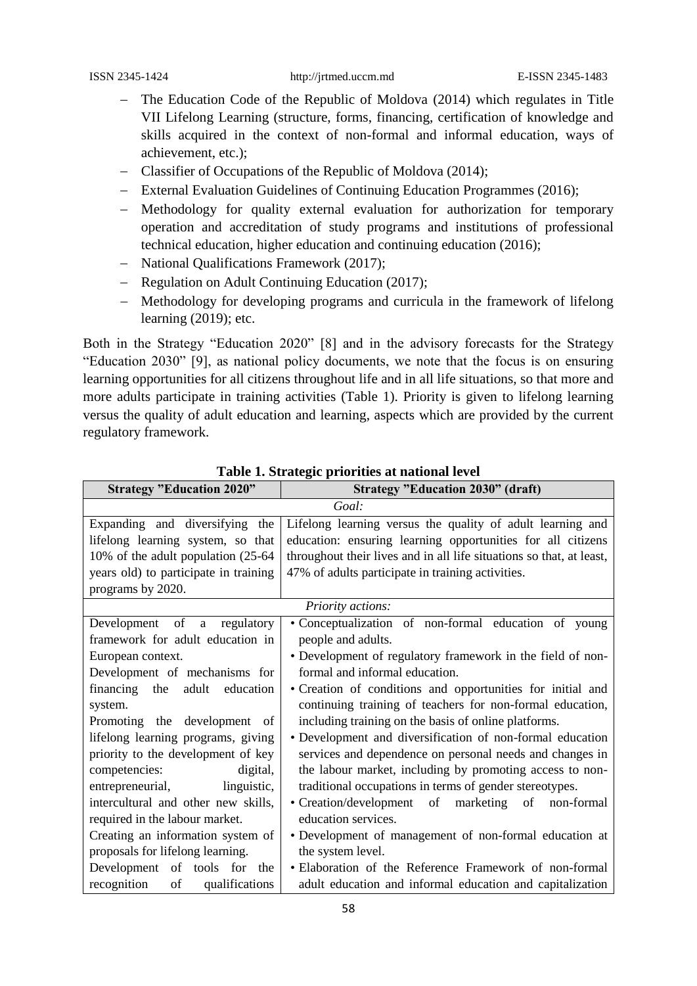- The Education Code of the Republic of Moldova (2014) which regulates in Title VII Lifelong Learning (structure, forms, financing, certification of knowledge and skills acquired in the context of non-formal and informal education, ways of achievement, etc.);
- Classifier of Occupations of the Republic of Moldova (2014);
- External Evaluation Guidelines of Continuing Education Programmes (2016);
- Methodology for quality external evaluation for authorization for temporary operation and accreditation of study programs and institutions of professional technical education, higher education and continuing education (2016);
- National Qualifications Framework (2017);
- Regulation on Adult Continuing Education (2017);
- Methodology for developing programs and curricula in the framework of lifelong learning (2019); etc.

Both in the Strategy "Education 2020" [8] and in the advisory forecasts for the Strategy "Education 2030" [9], as national policy documents, we note that the focus is on ensuring learning opportunities for all citizens throughout life and in all life situations, so that more and more adults participate in training activities (Table 1). Priority is given to lifelong learning versus the quality of adult education and learning, aspects which are provided by the current regulatory framework.

| <b>Strategy "Education 2020"</b>      | <b>Strategy "Education 2030" (draft)</b>                             |  |
|---------------------------------------|----------------------------------------------------------------------|--|
| Goal:                                 |                                                                      |  |
| Expanding and diversifying the        | Lifelong learning versus the quality of adult learning and           |  |
| lifelong learning system, so that     | education: ensuring learning opportunities for all citizens          |  |
| 10% of the adult population (25-64)   | throughout their lives and in all life situations so that, at least, |  |
| years old) to participate in training | 47% of adults participate in training activities.                    |  |
| programs by 2020.                     |                                                                      |  |
| Priority actions:                     |                                                                      |  |
| Development of a regulatory           | • Conceptualization of non-formal education of young                 |  |
| framework for adult education in      | people and adults.                                                   |  |
| European context.                     | • Development of regulatory framework in the field of non-           |  |
| Development of mechanisms for         | formal and informal education.                                       |  |
| financing the<br>adult<br>education   | • Creation of conditions and opportunities for initial and           |  |
| system.                               | continuing training of teachers for non-formal education,            |  |
| Promoting the development of          | including training on the basis of online platforms.                 |  |
| lifelong learning programs, giving    | • Development and diversification of non-formal education            |  |
| priority to the development of key    | services and dependence on personal needs and changes in             |  |
| competencies:<br>digital,             | the labour market, including by promoting access to non-             |  |
| entrepreneurial, linguistic,          | traditional occupations in terms of gender stereotypes.              |  |
| intercultural and other new skills,   | • Creation/development of marketing of non-formal                    |  |
| required in the labour market.        | education services.                                                  |  |
| Creating an information system of     | • Development of management of non-formal education at               |  |
| proposals for lifelong learning.      | the system level.                                                    |  |
| Development of tools for the          | • Elaboration of the Reference Framework of non-formal               |  |
| recognition<br>of<br>qualifications   | adult education and informal education and capitalization            |  |

**Table 1. Strategic priorities at national level**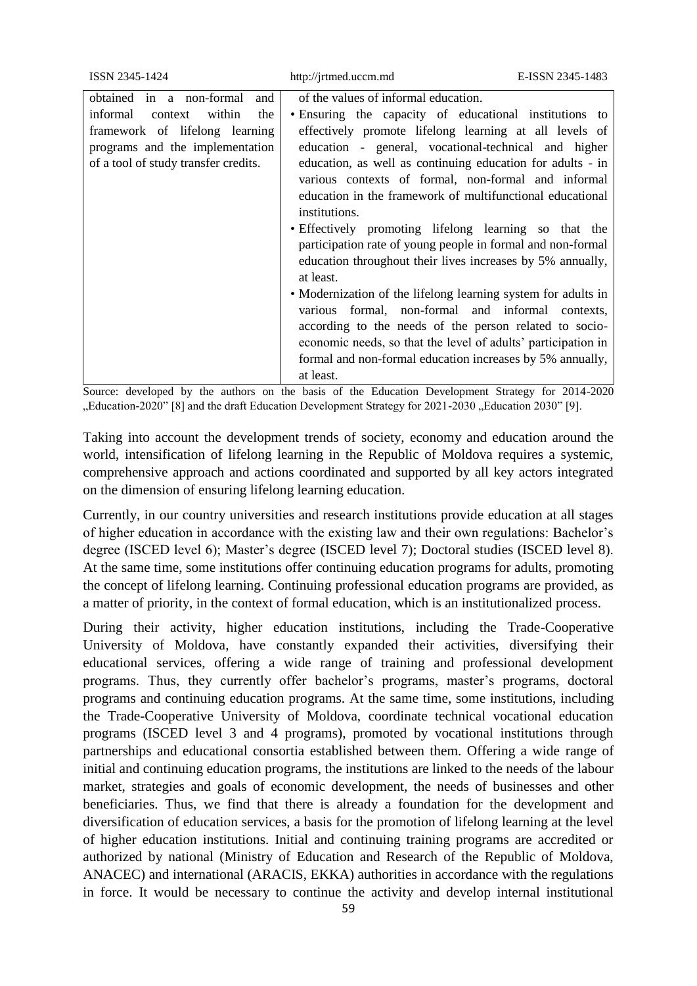| ISSN 2345-1424                                                                                                                                                                          | http://jrtmed.uccm.md                                                                                                                                                                                                                                                                                                                                                                                                                                                                                                                                                                                                                                                                                                                                                                                                                                                                                                                                | E-ISSN 2345-1483 |
|-----------------------------------------------------------------------------------------------------------------------------------------------------------------------------------------|------------------------------------------------------------------------------------------------------------------------------------------------------------------------------------------------------------------------------------------------------------------------------------------------------------------------------------------------------------------------------------------------------------------------------------------------------------------------------------------------------------------------------------------------------------------------------------------------------------------------------------------------------------------------------------------------------------------------------------------------------------------------------------------------------------------------------------------------------------------------------------------------------------------------------------------------------|------------------|
| in a non-formal<br>obtained<br>and<br>within<br>informal<br>the<br>context<br>framework of lifelong learning<br>programs and the implementation<br>of a tool of study transfer credits. | of the values of informal education.<br>• Ensuring the capacity of educational institutions to<br>effectively promote lifelong learning at all levels of<br>education - general, vocational-technical and higher<br>education, as well as continuing education for adults - in<br>various contexts of formal, non-formal and informal<br>education in the framework of multifunctional educational<br>institutions.<br>• Effectively promoting lifelong learning so that the<br>participation rate of young people in formal and non-formal<br>education throughout their lives increases by 5% annually,<br>at least.<br>• Modernization of the lifelong learning system for adults in<br>formal, non-formal and informal contexts,<br>various<br>according to the needs of the person related to socio-<br>economic needs, so that the level of adults' participation in<br>formal and non-formal education increases by 5% annually,<br>at least. |                  |

Source: developed by the authors on the basis of the Education Development Strategy for 2014-2020 "Education-2020" [8] and the draft Education Development Strategy for 2021-2030 "Education 2030" [9].

Taking into account the development trends of society, economy and education around the world, intensification of lifelong learning in the Republic of Moldova requires a systemic, comprehensive approach and actions coordinated and supported by all key actors integrated on the dimension of ensuring lifelong learning education.

Currently, in our country universities and research institutions provide education at all stages of higher education in accordance with the existing law and their own regulations: Bachelor's degree (ISCED level 6); Master's degree (ISCED level 7); Doctoral studies (ISCED level 8). At the same time, some institutions offer continuing education programs for adults, promoting the concept of lifelong learning. Continuing professional education programs are provided, as a matter of priority, in the context of formal education, which is an institutionalized process.

During their activity, higher education institutions, including the Trade-Cooperative University of Moldova, have constantly expanded their activities, diversifying their educational services, offering a wide range of training and professional development programs. Thus, they currently offer bachelor's programs, master's programs, doctoral programs and continuing education programs. At the same time, some institutions, including the Trade-Cooperative University of Moldova, coordinate technical vocational education programs (ISCED level 3 and 4 programs), promoted by vocational institutions through partnerships and educational consortia established between them. Offering a wide range of initial and continuing education programs, the institutions are linked to the needs of the labour market, strategies and goals of economic development, the needs of businesses and other beneficiaries. Thus, we find that there is already a foundation for the development and diversification of education services, a basis for the promotion of lifelong learning at the level of higher education institutions. Initial and continuing training programs are accredited or authorized by national (Ministry of Education and Research of the Republic of Moldova, ANACEC) and international (ARACIS, EKKA) authorities in accordance with the regulations in force. It would be necessary to continue the activity and develop internal institutional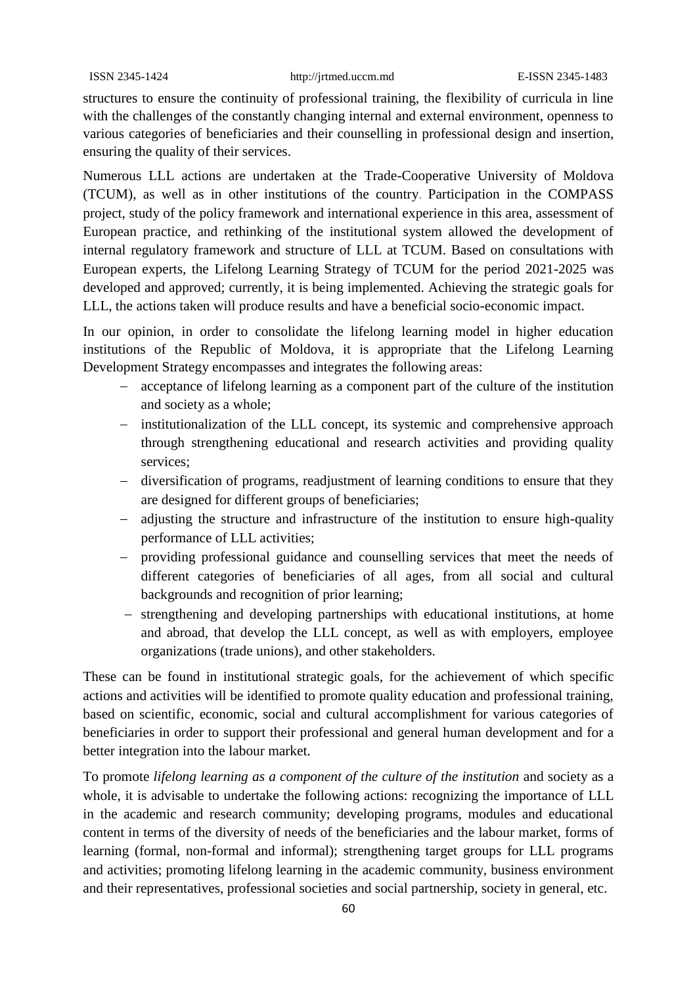structures to ensure the continuity of professional training, the flexibility of curricula in line with the challenges of the constantly changing internal and external environment, openness to various categories of beneficiaries and their counselling in professional design and insertion, ensuring the quality of their services.

Numerous LLL actions are undertaken at the Trade-Cooperative University of Moldova (TCUM), as well as in other institutions of the country. Participation in the COMPASS project, study of the policy framework and international experience in this area, assessment of European practice, and rethinking of the institutional system allowed the development of internal regulatory framework and structure of LLL at TCUM. Based on consultations with European experts, the Lifelong Learning Strategy of TCUM for the period 2021-2025 was developed and approved; currently, it is being implemented. Achieving the strategic goals for LLL, the actions taken will produce results and have a beneficial socio-economic impact.

In our opinion, in order to consolidate the lifelong learning model in higher education institutions of the Republic of Moldova, it is appropriate that the Lifelong Learning Development Strategy encompasses and integrates the following areas:

- acceptance of lifelong learning as a component part of the culture of the institution and society as a whole;
- institutionalization of the LLL concept, its systemic and comprehensive approach through strengthening educational and research activities and providing quality services;
- diversification of programs, readjustment of learning conditions to ensure that they are designed for different groups of beneficiaries;
- adjusting the structure and infrastructure of the institution to ensure high-quality performance of LLL activities;
- providing professional guidance and counselling services that meet the needs of different categories of beneficiaries of all ages, from all social and cultural backgrounds and recognition of prior learning;
- strengthening and developing partnerships with educational institutions, at home and abroad, that develop the LLL concept, as well as with employers, employee organizations (trade unions), and other stakeholders.

These can be found in institutional strategic goals, for the achievement of which specific actions and activities will be identified to promote quality education and professional training, based on scientific, economic, social and cultural accomplishment for various categories of beneficiaries in order to support their professional and general human development and for a better integration into the labour market.

To promote *lifelong learning as a component of the culture of the institution* and society as a whole, it is advisable to undertake the following actions: recognizing the importance of LLL in the academic and research community; developing programs, modules and educational content in terms of the diversity of needs of the beneficiaries and the labour market, forms of learning (formal, non-formal and informal); strengthening target groups for LLL programs and activities; promoting lifelong learning in the academic community, business environment and their representatives, professional societies and social partnership, society in general, etc.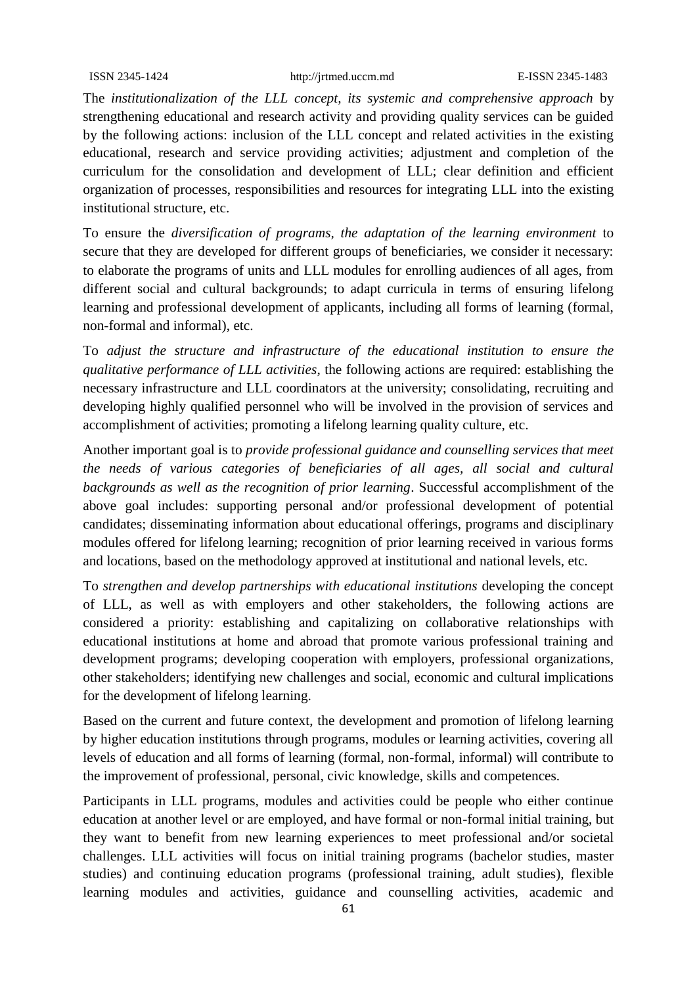The *institutionalization of the LLL concept, its systemic and comprehensive approach* by strengthening educational and research activity and providing quality services can be guided by the following actions: inclusion of the LLL concept and related activities in the existing educational, research and service providing activities; adjustment and completion of the curriculum for the consolidation and development of LLL; clear definition and efficient organization of processes, responsibilities and resources for integrating LLL into the existing institutional structure, etc.

To ensure the *diversification of programs, the adaptation of the learning environment* to secure that they are developed for different groups of beneficiaries, we consider it necessary: to elaborate the programs of units and LLL modules for enrolling audiences of all ages, from different social and cultural backgrounds; to adapt curricula in terms of ensuring lifelong learning and professional development of applicants, including all forms of learning (formal, non-formal and informal), etc.

To *adjust the structure and infrastructure of the educational institution to ensure the qualitative performance of LLL activities*, the following actions are required: establishing the necessary infrastructure and LLL coordinators at the university; consolidating, recruiting and developing highly qualified personnel who will be involved in the provision of services and accomplishment of activities; promoting a lifelong learning quality culture, etc.

Another important goal is to *provide professional guidance and counselling services that meet the needs of various categories of beneficiaries of all ages, all social and cultural backgrounds as well as the recognition of prior learning*. Successful accomplishment of the above goal includes: supporting personal and/or professional development of potential candidates; disseminating information about educational offerings, programs and disciplinary modules offered for lifelong learning; recognition of prior learning received in various forms and locations, based on the methodology approved at institutional and national levels, etc.

To *strengthen and develop partnerships with educational institutions* developing the concept of LLL, as well as with employers and other stakeholders, the following actions are considered a priority: establishing and capitalizing on collaborative relationships with educational institutions at home and abroad that promote various professional training and development programs; developing cooperation with employers, professional organizations, other stakeholders; identifying new challenges and social, economic and cultural implications for the development of lifelong learning.

Based on the current and future context, the development and promotion of lifelong learning by higher education institutions through programs, modules or learning activities, covering all levels of education and all forms of learning (formal, non-formal, informal) will contribute to the improvement of professional, personal, civic knowledge, skills and competences.

Participants in LLL programs, modules and activities could be people who either continue education at another level or are employed, and have formal or non-formal initial training, but they want to benefit from new learning experiences to meet professional and/or societal challenges. LLL activities will focus on initial training programs (bachelor studies, master studies) and continuing education programs (professional training, adult studies), flexible learning modules and activities, guidance and counselling activities, academic and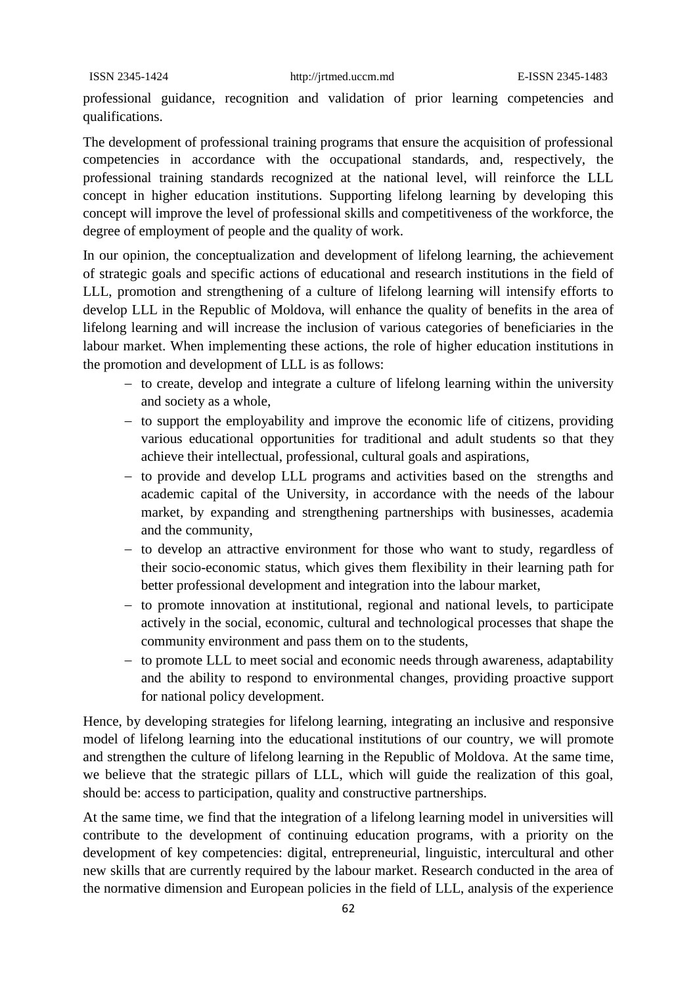professional guidance, recognition and validation of prior learning competencies and qualifications.

The development of professional training programs that ensure the acquisition of professional competencies in accordance with the occupational standards, and, respectively, the professional training standards recognized at the national level, will reinforce the LLL concept in higher education institutions. Supporting lifelong learning by developing this concept will improve the level of professional skills and competitiveness of the workforce, the degree of employment of people and the quality of work.

In our opinion, the conceptualization and development of lifelong learning, the achievement of strategic goals and specific actions of educational and research institutions in the field of LLL, promotion and strengthening of a culture of lifelong learning will intensify efforts to develop LLL in the Republic of Moldova, will enhance the quality of benefits in the area of lifelong learning and will increase the inclusion of various categories of beneficiaries in the labour market. When implementing these actions, the role of higher education institutions in the promotion and development of LLL is as follows:

- $\overline{a}$  to create, develop and integrate a culture of lifelong learning within the university and society as a whole,
- to support the employability and improve the economic life of citizens, providing various educational opportunities for traditional and adult students so that they achieve their intellectual, professional, cultural goals and aspirations,
- to provide and develop LLL programs and activities based on the strengths and academic capital of the University, in accordance with the needs of the labour market, by expanding and strengthening partnerships with businesses, academia and the community,
- to develop an attractive environment for those who want to study, regardless of their socio-economic status, which gives them flexibility in their learning path for better professional development and integration into the labour market,
- to promote innovation at institutional, regional and national levels, to participate actively in the social, economic, cultural and technological processes that shape the community environment and pass them on to the students,
- to promote LLL to meet social and economic needs through awareness, adaptability and the ability to respond to environmental changes, providing proactive support for national policy development.

Hence, by developing strategies for lifelong learning, integrating an inclusive and responsive model of lifelong learning into the educational institutions of our country, we will promote and strengthen the culture of lifelong learning in the Republic of Moldova. At the same time, we believe that the strategic pillars of LLL, which will guide the realization of this goal, should be: access to participation, quality and constructive partnerships.

At the same time, we find that the integration of a lifelong learning model in universities will contribute to the development of continuing education programs, with a priority on the development of key competencies: digital, entrepreneurial, linguistic, intercultural and other new skills that are currently required by the labour market. Research conducted in the area of the normative dimension and European policies in the field of LLL, analysis of the experience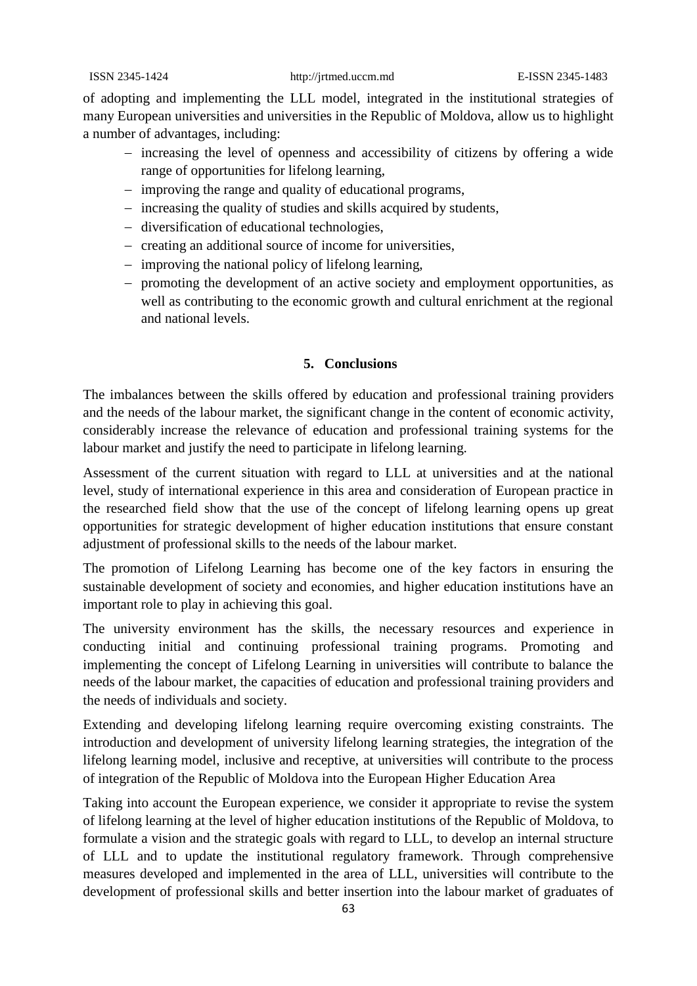of adopting and implementing the LLL model, integrated in the institutional strategies of many European universities and universities in the Republic of Moldova, allow us to highlight a number of advantages, including:

- increasing the level of openness and accessibility of citizens by offering a wide range of opportunities for lifelong learning,
- improving the range and quality of educational programs,
- increasing the quality of studies and skills acquired by students,
- diversification of educational technologies,
- creating an additional source of income for universities,
- improving the national policy of lifelong learning,
- promoting the development of an active society and employment opportunities, as well as contributing to the economic growth and cultural enrichment at the regional and national levels.

## **5. Conclusions**

The imbalances between the skills offered by education and professional training providers and the needs of the labour market, the significant change in the content of economic activity, considerably increase the relevance of education and professional training systems for the labour market and justify the need to participate in lifelong learning.

Assessment of the current situation with regard to LLL at universities and at the national level, study of international experience in this area and consideration of European practice in the researched field show that the use of the concept of lifelong learning opens up great opportunities for strategic development of higher education institutions that ensure constant adjustment of professional skills to the needs of the labour market.

The promotion of Lifelong Learning has become one of the key factors in ensuring the sustainable development of society and economies, and higher education institutions have an important role to play in achieving this goal.

The university environment has the skills, the necessary resources and experience in conducting initial and continuing professional training programs. Promoting and implementing the concept of Lifelong Learning in universities will contribute to balance the needs of the labour market, the capacities of education and professional training providers and the needs of individuals and society.

Extending and developing lifelong learning require overcoming existing constraints. The introduction and development of university lifelong learning strategies, the integration of the lifelong learning model, inclusive and receptive, at universities will contribute to the process of integration of the Republic of Moldova into the European Higher Education Area

Taking into account the European experience, we consider it appropriate to revise the system of lifelong learning at the level of higher education institutions of the Republic of Moldova, to formulate a vision and the strategic goals with regard to LLL, to develop an internal structure of LLL and to update the institutional regulatory framework. Through comprehensive measures developed and implemented in the area of LLL, universities will contribute to the development of professional skills and better insertion into the labour market of graduates of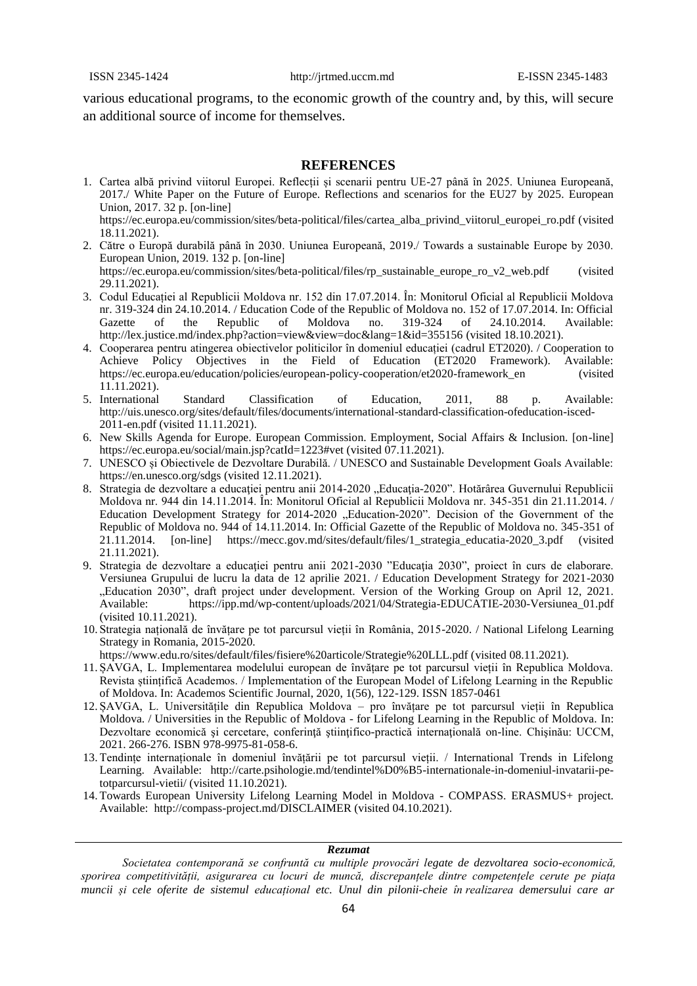various educational programs, to the economic growth of the country and, by this, will secure an additional source of income for themselves.

#### **REFERENCES**

- 1. Cartea albă privind viitorul Europei. Reflecții și scenarii pentru UE-27 până în 2025. Uniunea Europeană, 2017./ White Paper on the Future of Europe. Reflections and scenarios for the EU27 by 2025. European Union, 2017. 32 p. [on-line] https://ec.europa.eu/commission/sites/beta-political/files/cartea\_alba\_privind\_viitorul\_europei\_ro.pdf (visited 18.11.2021).
- 2. Către o Europă durabilă până în 2030. Uniunea Europeană, 2019./ Towards a sustainable Europe by 2030. European Union, 2019. 132 p. [on-line] https://ec.europa.eu/commission/sites/beta-political/files/rp\_sustainable\_europe\_ro\_v2\_web.pdf (visited 29.11.2021).
- 3. Codul Educației al Republicii Moldova nr. 152 din 17.07.2014. În: Monitorul Oficial al Republicii Moldova nr. 319-324 din 24.10.2014. / Education Code of the Republic of Moldova no. 152 of 17.07.2014. In: Official Gazette of the Republic of Moldova no. 319-324 of 24.10.2014. Available: <http://lex.justice.md/index.php?action=view&view=doc&lang=1&id=355156> (visited 18.10.2021).
- 4. Cooperarea pentru atingerea obiectivelor politicilor în domeniul educației (cadrul ET2020). / Cooperation to Achieve Policy Objectives in the Field of Education (ET2020 Framework). Available: [https://ec.europa.eu/education/policies/european-policy-cooperation/et2020-framework\\_en](https://ec.europa.eu/education/policies/european-policy-cooperation/et2020-framework_en) (visited 11.11.2021).
- 5. International Standard Classification of Education, 2011, 88 p. Available: [http://uis.unesco.org/sites/default/files/documents/international-standard-classification-ofeducation-isced-](http://uis.unesco.org/sites/default/files/documents/international-standard-classification-ofeducation-isced-2011-en.pdf)[2011-en.pdf](http://uis.unesco.org/sites/default/files/documents/international-standard-classification-ofeducation-isced-2011-en.pdf) (visited 11.11.2021).
- 6. New Skills Agenda for Europe. European Commission. Employment, Social Affairs & Inclusion. [on-line] https://ec.europa.eu/social/main.jsp?catId=1223#vet (visited 07.11.2021).
- 7. UNESCO și Obiectivele de Dezvoltare Durabilă. / UNESCO and Sustainable Development Goals Available: <https://en.unesco.org/sdgs> (visited 12.11.2021).
- 8. Strategia de dezvoltare a educației pentru anii 2014-2020 "Educația-2020". Hotărârea Guvernului Republicii Moldova nr. 944 din 14.11.2014. În: Monitorul Oficial al Republicii Moldova nr. 345-351 din 21.11.2014. / Education Development Strategy for 2014-2020 "Education-2020". Decision of the Government of the Republic of Moldova no. 944 of 14.11.2014. In: Official Gazette of the Republic of Moldova no. 345-351 of 21.11.2014. [on-line] https://mecc.gov.md/sites/default/files/1\_strategia\_educatia-2020\_3.pdf (visited 21.11.2021).
- 9. Strategia de dezvoltare a educaţiei pentru anii 2021-2030 "Educaţia 2030", proiect în curs de elaborare. Versiunea Grupului de lucru la data de 12 aprilie 2021. / Education Development Strategy for 2021-2030 "Education 2030", draft project under development. Version of the Working Group on April 12, 2021. Available: https://ipp.md/wp-content/uploads/2021/04/Strategia-EDUCATIE-2030-Versiunea\_01.pdf (visited 10.11.2021).
- 10. Strategia națională de învățare pe tot parcursul vieții în România, 2015-2020. / National Lifelong Learning Strategy in Romania, 2015-2020.

https://www.edu.ro/sites/default/files/fisiere%20articole/Strategie%20LLL.pdf (visited 08.11.2021).

- 11. ȘAVGA, L. Implementarea modelului european de învățare pe tot parcursul vieții în Republica Moldova. Revista științifică Academos. / Implementation of the European Model of Lifelong Learning in the Republic of Moldova. In: Academos Scientific Journal, 2020, 1(56), 122-129. ISSN 1857-0461
- 12. ȘAVGA, L. Universitățile din Republica Moldova pro învățare pe tot parcursul vieții în Republica Moldova. / Universities in the Republic of Moldova - for Lifelong Learning in the Republic of Moldova. In: Dezvoltare economică şi cercetare, conferinţă ştiinţifico-practică internaţională on-line. Chişinău: UCCM, 2021. 266-276. ISBN 978-9975-81-058-6.
- 13. Tendințe internaționale în domeniul învățării pe tot parcursul vieții. / International Trends in Lifelong Learning. Available: http://carte.psihologie.md/tendintel%D0%B5-internationale-in-domeniul-invatarii-petotparcursul-vietii/ (visited 11.10.2021).
- 14. Towards European University Lifelong Learning Model in Moldova COMPASS. ERASMUS+ project. Available: http://compass-project.md/DISCLAIMER (visited 04.10.2021).

#### *Rezumat*

*Societatea contemporană se confruntă cu multiple provocări legate de dezvoltarea socio-economică, sporirea competitivității, asigurarea cu locuri de muncă, discrepanțele dintre competențele cerute pe piața muncii și cele oferite de sistemul educațional etc. Unul din pilonii-cheie în realizarea demersului care ar*